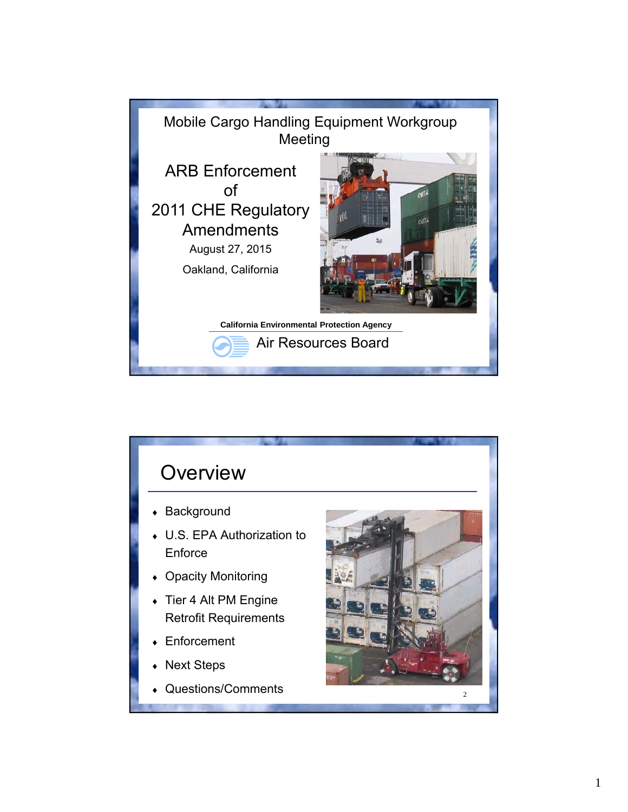

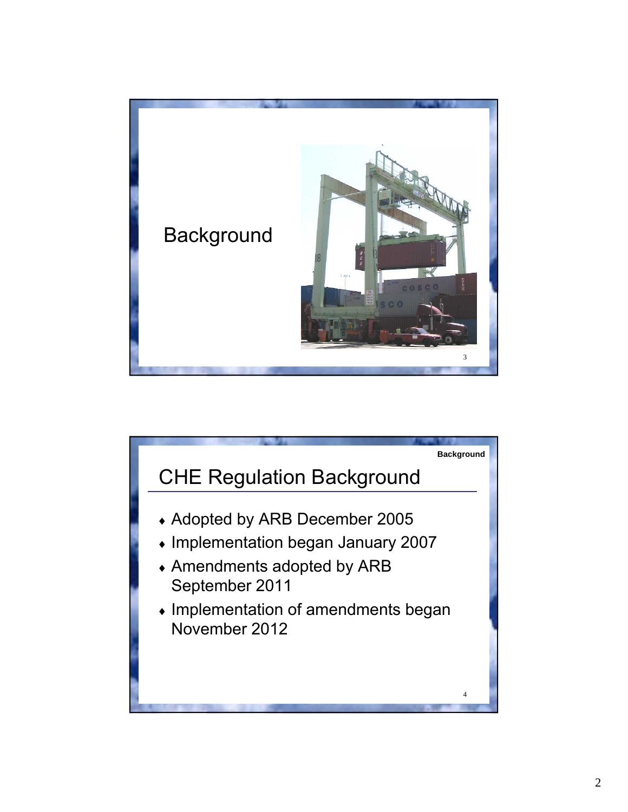

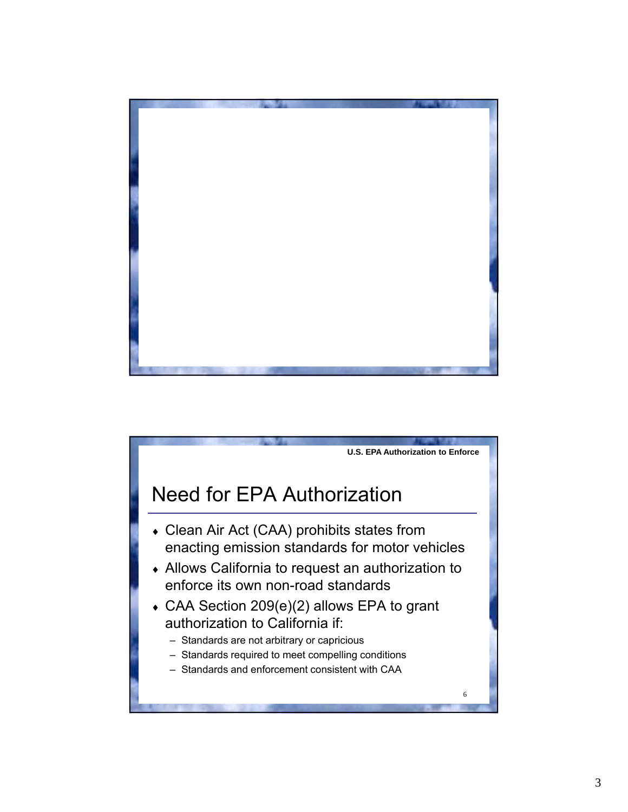

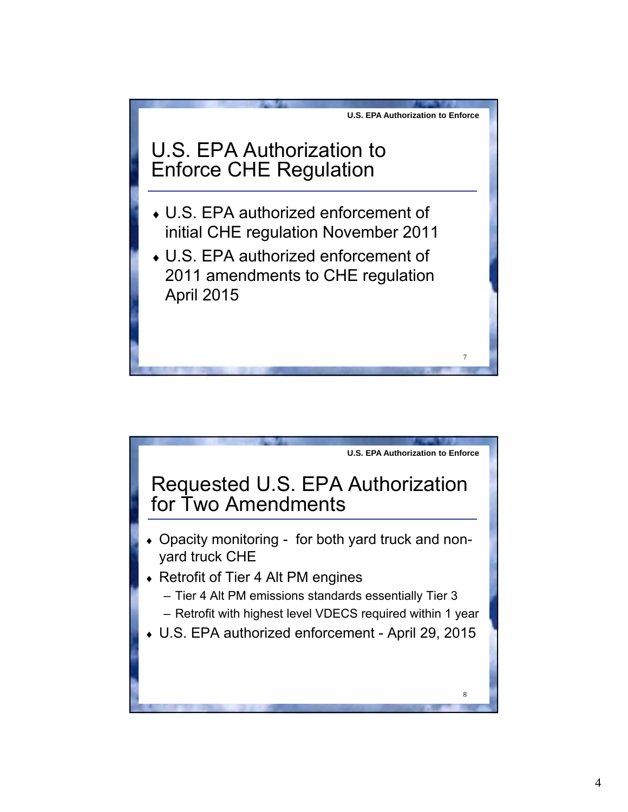

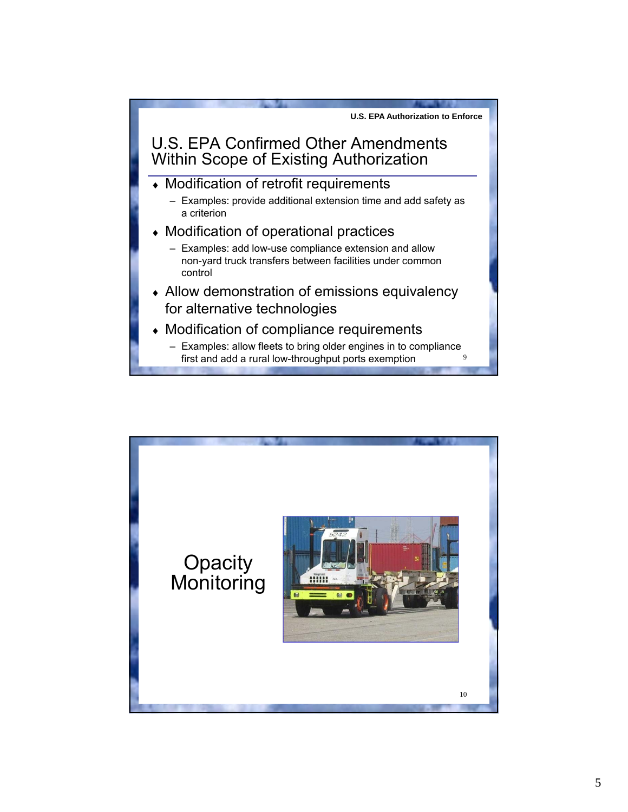

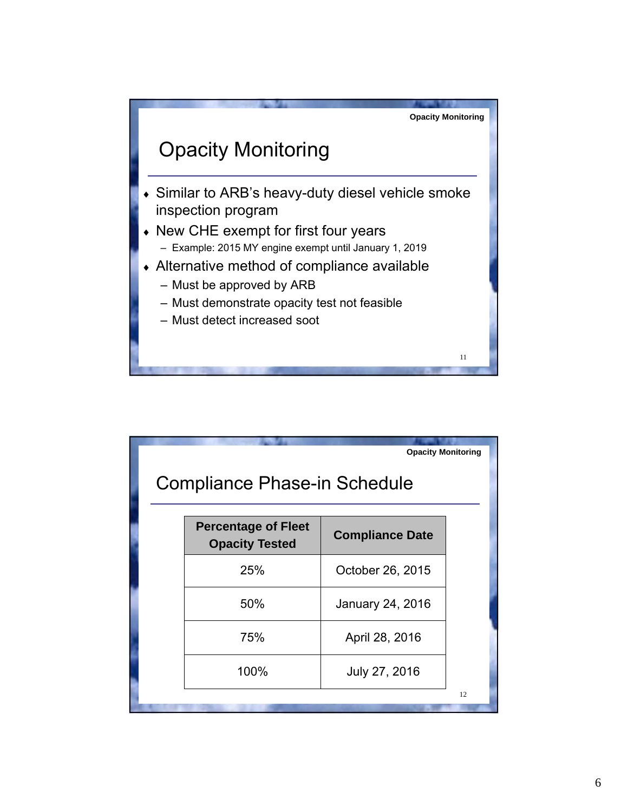

|                                     |                                                     | <b>Opacity Monitoring</b> |    |  |  |  |  |  |  |
|-------------------------------------|-----------------------------------------------------|---------------------------|----|--|--|--|--|--|--|
| <b>Compliance Phase-in Schedule</b> |                                                     |                           |    |  |  |  |  |  |  |
|                                     | <b>Percentage of Fleet</b><br><b>Opacity Tested</b> | <b>Compliance Date</b>    |    |  |  |  |  |  |  |
|                                     | 25%                                                 | October 26, 2015          |    |  |  |  |  |  |  |
|                                     | 50%                                                 | January 24, 2016          |    |  |  |  |  |  |  |
|                                     | 75%                                                 | April 28, 2016            |    |  |  |  |  |  |  |
|                                     | 100%                                                | July 27, 2016             |    |  |  |  |  |  |  |
|                                     |                                                     |                           | 12 |  |  |  |  |  |  |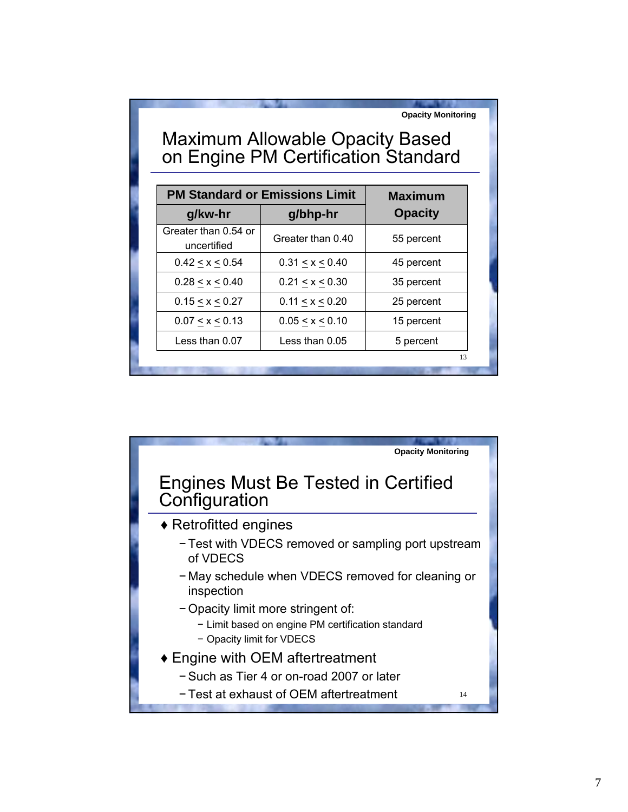| <b>Opacity Monitoring</b><br><b>Maximum Allowable Opacity Based</b><br>on Engine PM Certification Standard |                   |                |  |  |  |  |
|------------------------------------------------------------------------------------------------------------|-------------------|----------------|--|--|--|--|
| <b>PM Standard or Emissions Limit</b>                                                                      | <b>Maximum</b>    |                |  |  |  |  |
| g/kw-hr                                                                                                    | g/bhp-hr          | <b>Opacity</b> |  |  |  |  |
| Greater than 0.54 or<br>uncertified                                                                        | Greater than 0.40 | 55 percent     |  |  |  |  |
| 0.42 < x < 0.54                                                                                            | 0.31 < x < 0.40   | 45 percent     |  |  |  |  |
| 0.28 < x < 0.40                                                                                            | 0.21 < x < 0.30   | 35 percent     |  |  |  |  |
| 0.15 < x < 0.27                                                                                            | 0.11 < x < 0.20   | 25 percent     |  |  |  |  |
| 0.07 < x < 0.13                                                                                            | 0.05 < x < 0.10   | 15 percent     |  |  |  |  |
| Less than 0.07                                                                                             | Less than $0.05$  | 5 percent      |  |  |  |  |
|                                                                                                            |                   | 13             |  |  |  |  |

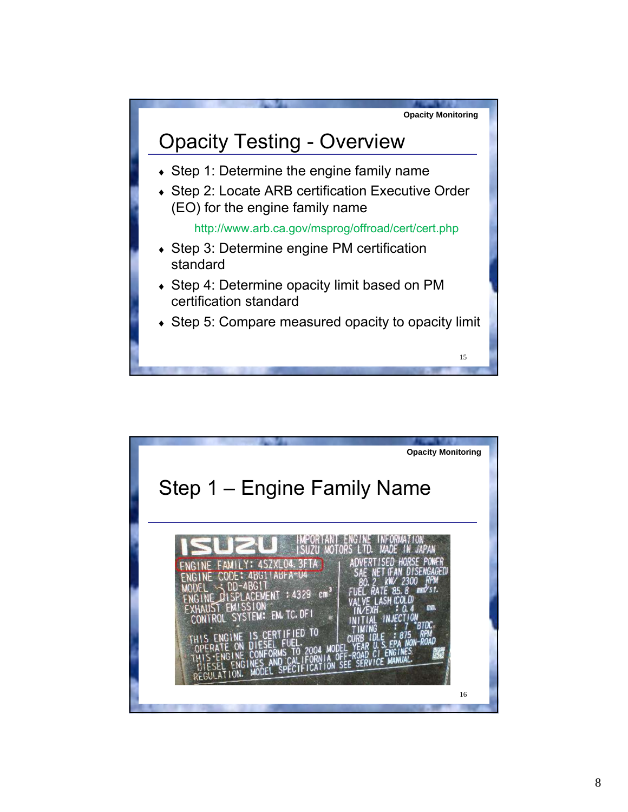

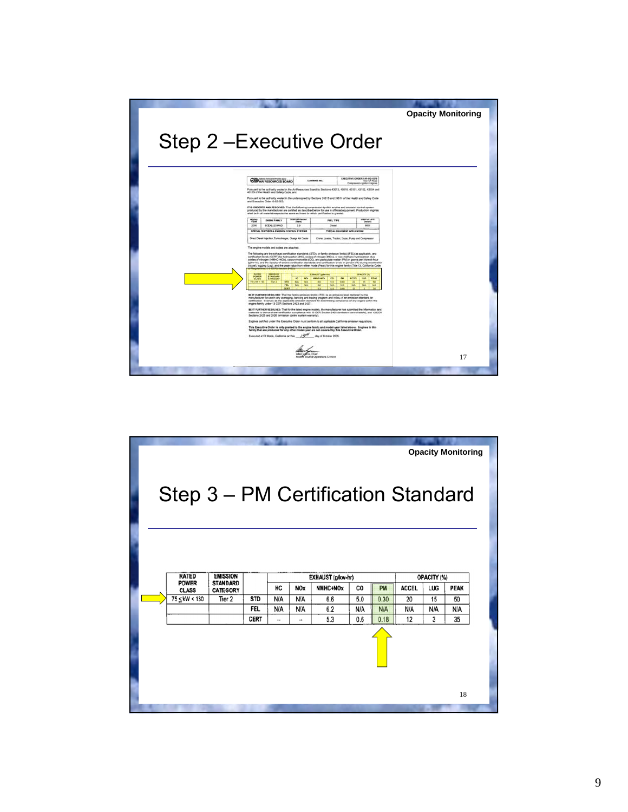

|                                                                     | <b>Opacity Monitoring</b>    |                                    |             |                          |               |          |     |            |              |     |             |  |
|---------------------------------------------------------------------|------------------------------|------------------------------------|-------------|--------------------------|---------------|----------|-----|------------|--------------|-----|-------------|--|
| Step 3 - PM Certification Standard                                  |                              |                                    |             |                          |               |          |     |            |              |     |             |  |
| <b>RATED</b><br><b>EMISSION</b><br>EXHAUST (g/kw-hr)<br>OPACITY (%) |                              |                                    |             |                          |               |          |     |            |              |     |             |  |
|                                                                     | <b>POWER</b><br><b>CLASS</b> | <b>STANDARD</b><br><b>CATEGORY</b> |             | HC                       | <b>NOx</b>    | NMHC+NOx | CO  | PM         | <b>ACCEL</b> | LUG | <b>PEAK</b> |  |
|                                                                     | 75 < kW < 130                | Tier 2                             | <b>STD</b>  | N/A                      | N/A           | 6.6      | 5.0 | 0.30       | 20           | 15  | 50          |  |
|                                                                     |                              |                                    | FEL         | N/A                      | <b>N/A</b>    | 6.2      | N/A | <b>N/A</b> | N/A          | N/A | N/A         |  |
|                                                                     |                              |                                    | <b>CERT</b> | $\overline{\phantom{a}}$ | $\rightarrow$ | 5.3      | 0.6 | 0.18       | 12           | 3   | 35          |  |
|                                                                     |                              |                                    |             |                          |               |          |     |            |              |     |             |  |
|                                                                     |                              |                                    |             |                          |               |          |     |            |              |     | 18          |  |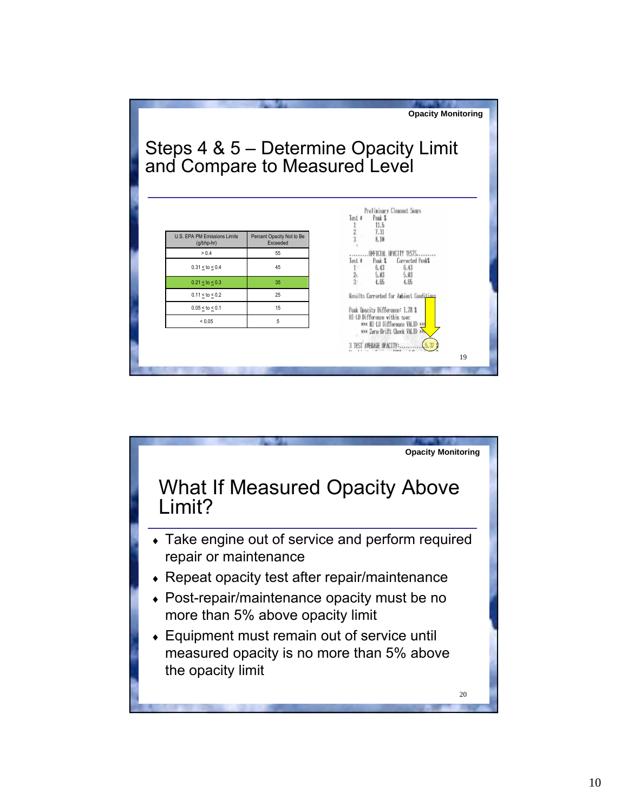

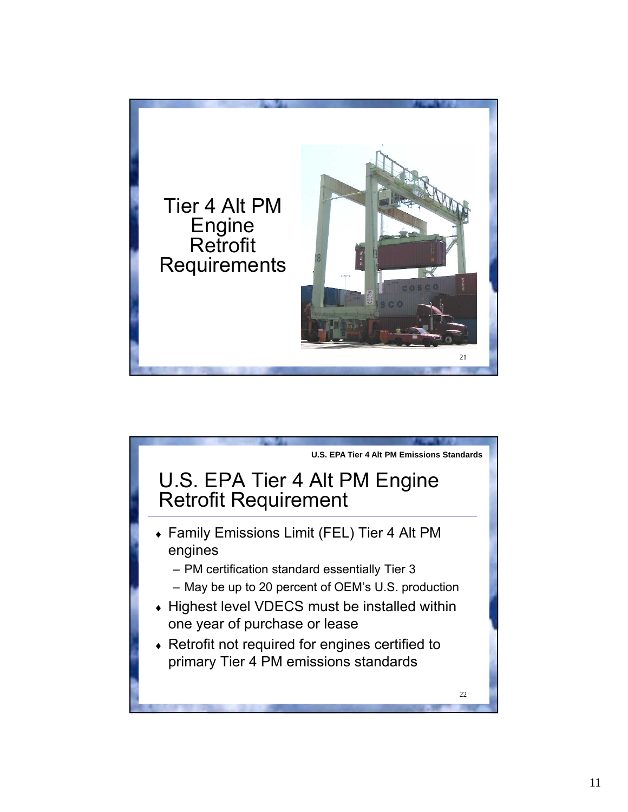

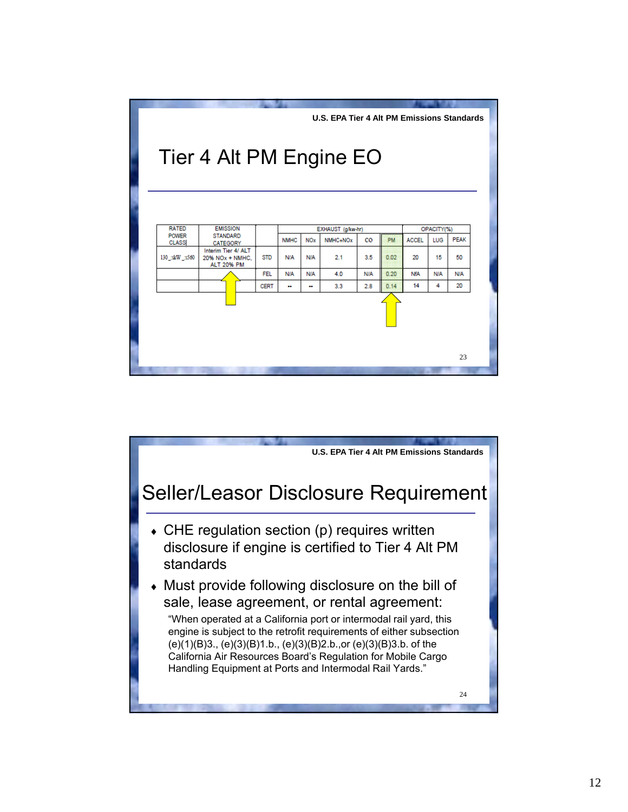

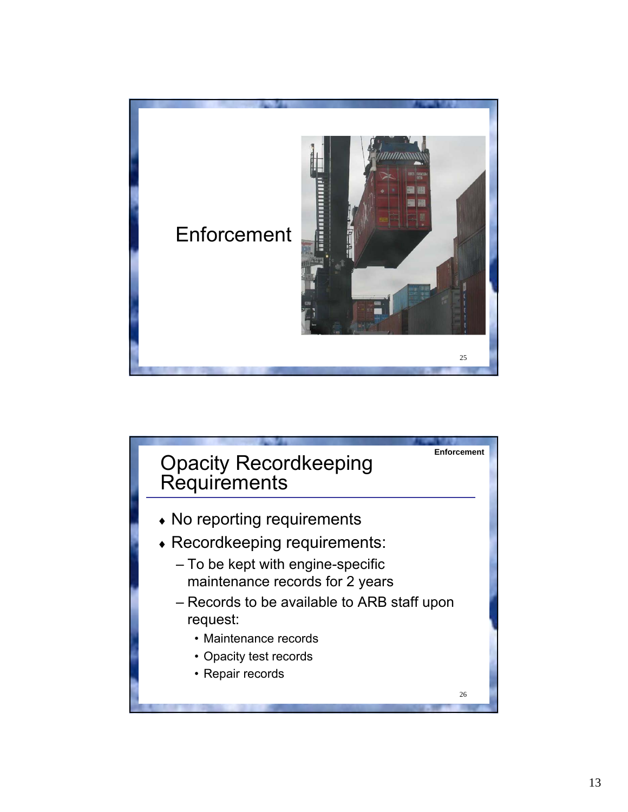

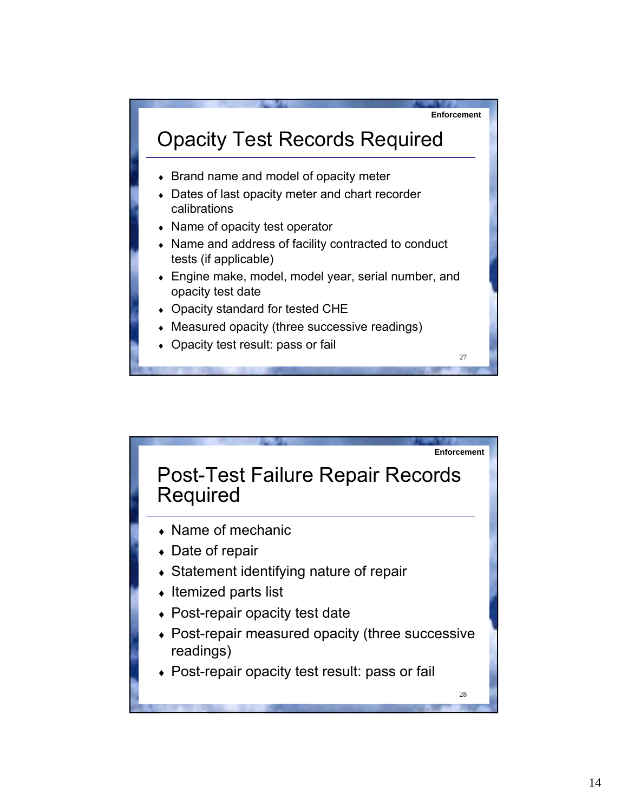

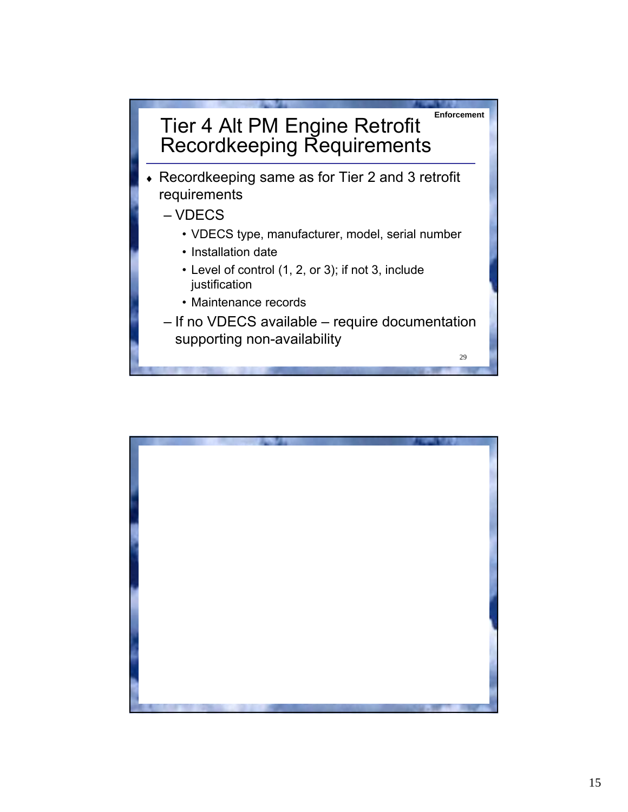

- Recordkeeping same as for Tier 2 and 3 retrofit requirements
	- VDECS
		- VDECS type, manufacturer, model, serial number
		- Installation date
		- Level of control (1, 2, or 3); if not 3, include justification
		- Maintenance records
	- If no VDECS available require documentation supporting non-availability

29

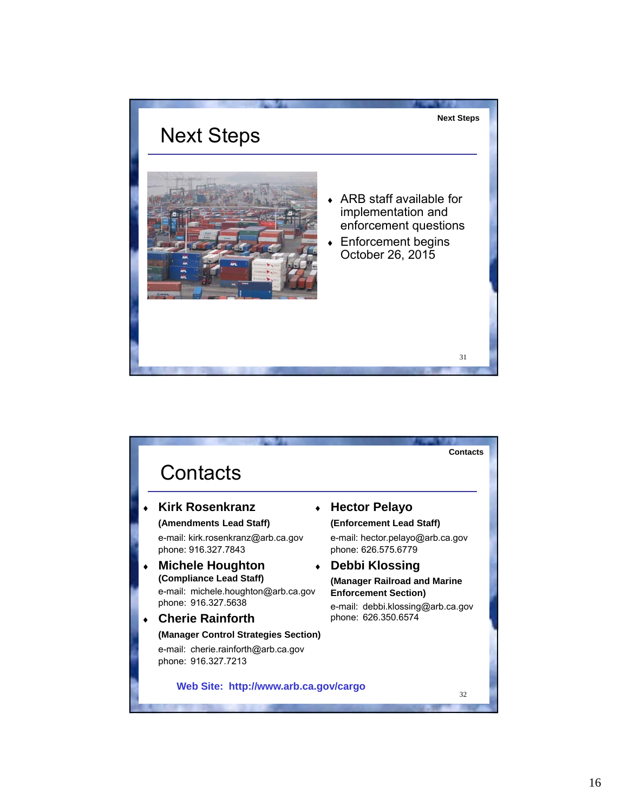